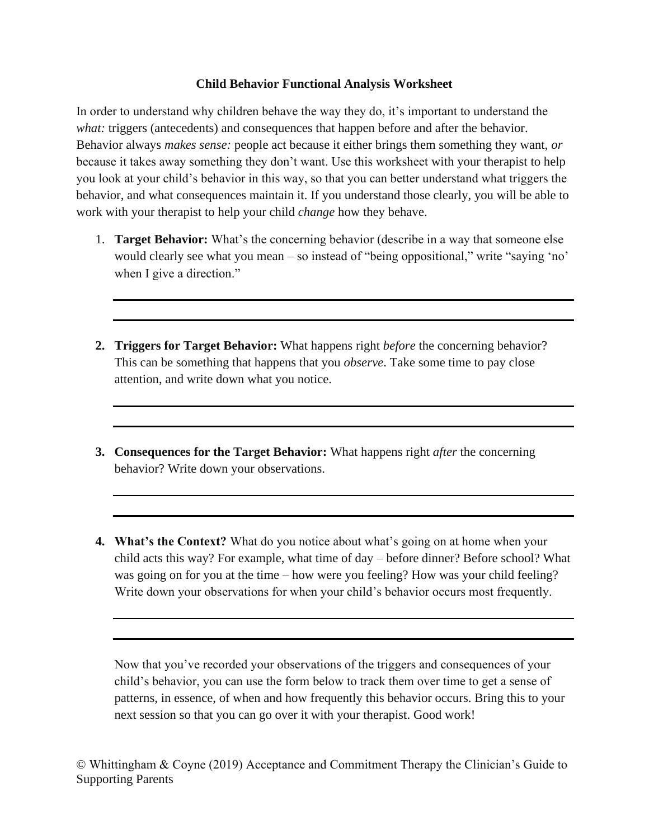## **Child Behavior Functional Analysis Worksheet**

In order to understand why children behave the way they do, it's important to understand the *what:* triggers (antecedents) and consequences that happen before and after the behavior. Behavior always *makes sense:* people act because it either brings them something they want, *or* because it takes away something they don't want. Use this worksheet with your therapist to help you look at your child's behavior in this way, so that you can better understand what triggers the behavior, and what consequences maintain it. If you understand those clearly, you will be able to work with your therapist to help your child *change* how they behave.

- 1. **Target Behavior:** What's the concerning behavior (describe in a way that someone else would clearly see what you mean – so instead of "being oppositional," write "saying 'no' when I give a direction."
- **2. Triggers for Target Behavior:** What happens right *before* the concerning behavior? This can be something that happens that you *observe*. Take some time to pay close attention, and write down what you notice.
- **3. Consequences for the Target Behavior:** What happens right *after* the concerning behavior? Write down your observations.
- **4. What's the Context?** What do you notice about what's going on at home when your child acts this way? For example, what time of day – before dinner? Before school? What was going on for you at the time – how were you feeling? How was your child feeling? Write down your observations for when your child's behavior occurs most frequently.

Now that you've recorded your observations of the triggers and consequences of your child's behavior, you can use the form below to track them over time to get a sense of patterns, in essence, of when and how frequently this behavior occurs. Bring this to your next session so that you can go over it with your therapist. Good work!